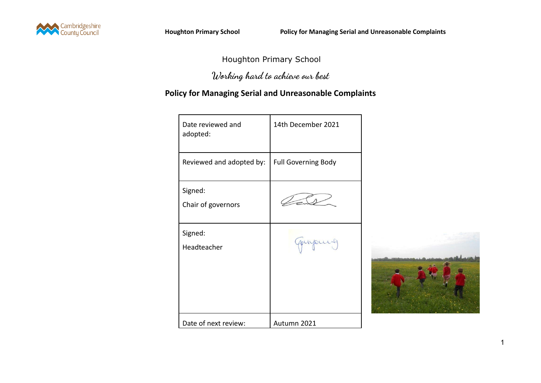

## Houghton Primary School

## **Working hard to achieve our best**

## **Policy for Managing Serial and Unreasonable Complaints**

| Date reviewed and<br>adopted: | 14th December 2021         |  |
|-------------------------------|----------------------------|--|
| Reviewed and adopted by:      | <b>Full Governing Body</b> |  |
| Signed:<br>Chair of governors |                            |  |
| Signed:<br>Headteacher        | quipuis                    |  |
|                               |                            |  |
| Date of next review:          | Autumn 2021                |  |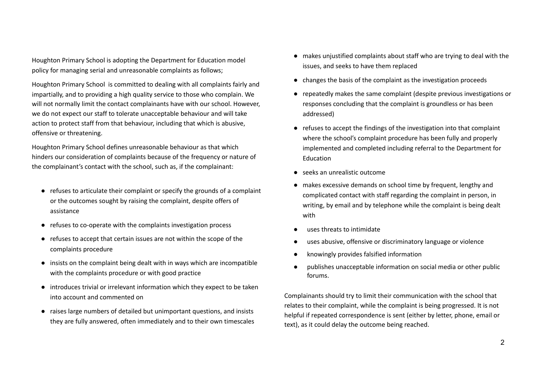Houghton Primary School is adopting the Department for Education model policy for managing serial and unreasonable complaints as follows;

Houghton Primary School is committed to dealing with all complaints fairly and impartially, and to providing a high quality service to those who complain. We will not normally limit the contact complainants have with our school. However, we do not expect our staff to tolerate unacceptable behaviour and will take action to protect staff from that behaviour, including that which is abusive, offensive or threatening.

Houghton Primary School defines unreasonable behaviour as that which hinders our consideration of complaints because of the frequency or nature of the complainant's contact with the school, such as, if the complainant:

- refuses to articulate their complaint or specify the grounds of a complaint or the outcomes sought by raising the complaint, despite offers of assistance
- refuses to co-operate with the complaints investigation process
- refuses to accept that certain issues are not within the scope of the complaints procedure
- insists on the complaint being dealt with in ways which are incompatible with the complaints procedure or with good practice
- introduces trivial or irrelevant information which they expect to be taken into account and commented on
- raises large numbers of detailed but unimportant questions, and insists they are fully answered, often immediately and to their own timescales
- makes unjustified complaints about staff who are trying to deal with the issues, and seeks to have them replaced
- changes the basis of the complaint as the investigation proceeds
- repeatedly makes the same complaint (despite previous investigations or responses concluding that the complaint is groundless or has been addressed)
- refuses to accept the findings of the investigation into that complaint where the school's complaint procedure has been fully and properly implemented and completed including referral to the Department for Education
- seeks an unrealistic outcome
- makes excessive demands on school time by frequent, lengthy and complicated contact with staff regarding the complaint in person, in writing, by email and by telephone while the complaint is being dealt with
- uses threats to intimidate
- uses abusive, offensive or discriminatory language or violence
- knowingly provides falsified information
- publishes unacceptable information on social media or other public forums.

Complainants should try to limit their communication with the school that relates to their complaint, while the complaint is being progressed. It is not helpful if repeated correspondence is sent (either by letter, phone, email or text), as it could delay the outcome being reached.